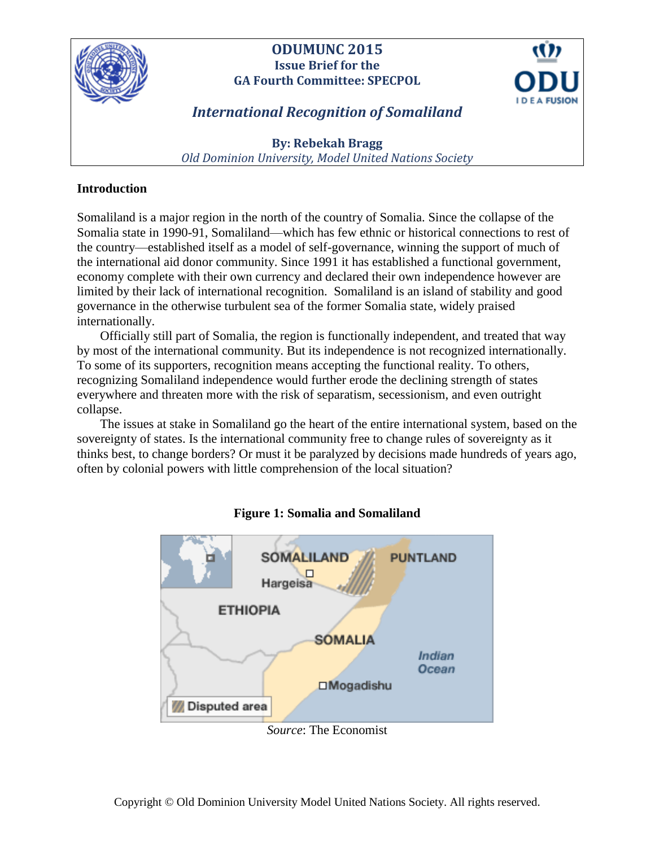

# **ODUMUNC 2015 Issue Brief for the GA Fourth Committee: SPECPOL**



# *International Recognition of Somaliland*

**By: Rebekah Bragg** *Old Dominion University, Model United Nations Society*

# **Introduction**

Somaliland is a major region in the north of the country of Somalia. Since the collapse of the Somalia state in 1990-91, Somaliland—which has few ethnic or historical connections to rest of the country—established itself as a model of self-governance, winning the support of much of the international aid donor community. Since 1991 it has established a functional government, economy complete with their own currency and declared their own independence however are limited by their lack of international recognition. Somaliland is an island of stability and good governance in the otherwise turbulent sea of the former Somalia state, widely praised internationally.

Officially still part of Somalia, the region is functionally independent, and treated that way by most of the international community. But its independence is not recognized internationally. To some of its supporters, recognition means accepting the functional reality. To others, recognizing Somaliland independence would further erode the declining strength of states everywhere and threaten more with the risk of separatism, secessionism, and even outright collapse.

The issues at stake in Somaliland go the heart of the entire international system, based on the sovereignty of states. Is the international community free to change rules of sovereignty as it thinks best, to change borders? Or must it be paralyzed by decisions made hundreds of years ago, often by colonial powers with little comprehension of the local situation?



# **Figure 1: Somalia and Somaliland**

*Source*: The Economist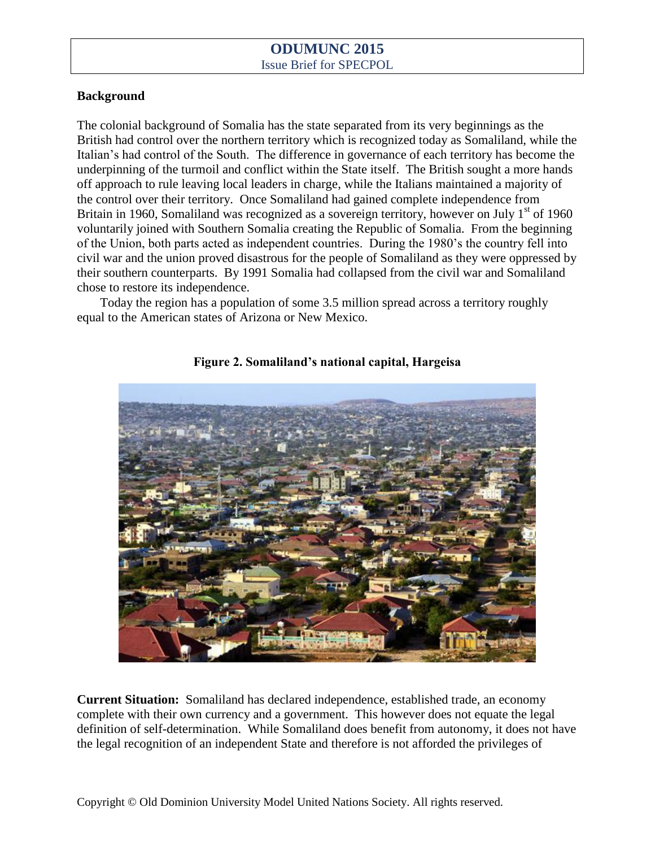#### **Background**

The colonial background of Somalia has the state separated from its very beginnings as the British had control over the northern territory which is recognized today as Somaliland, while the Italian's had control of the South. The difference in governance of each territory has become the underpinning of the turmoil and conflict within the State itself. The British sought a more hands off approach to rule leaving local leaders in charge, while the Italians maintained a majority of the control over their territory. Once Somaliland had gained complete independence from Britain in 1960, Somaliland was recognized as a sovereign territory, however on July  $1<sup>st</sup>$  of 1960 voluntarily joined with Southern Somalia creating the Republic of Somalia. From the beginning of the Union, both parts acted as independent countries. During the 1980's the country fell into civil war and the union proved disastrous for the people of Somaliland as they were oppressed by their southern counterparts. By 1991 Somalia had collapsed from the civil war and Somaliland chose to restore its independence.

Today the region has a population of some 3.5 million spread across a territory roughly equal to the American states of Arizona or New Mexico.



**Figure 2. Somaliland's national capital, Hargeisa**

**Current Situation:** Somaliland has declared independence, established trade, an economy complete with their own currency and a government. This however does not equate the legal definition of self-determination. While Somaliland does benefit from autonomy, it does not have the legal recognition of an independent State and therefore is not afforded the privileges of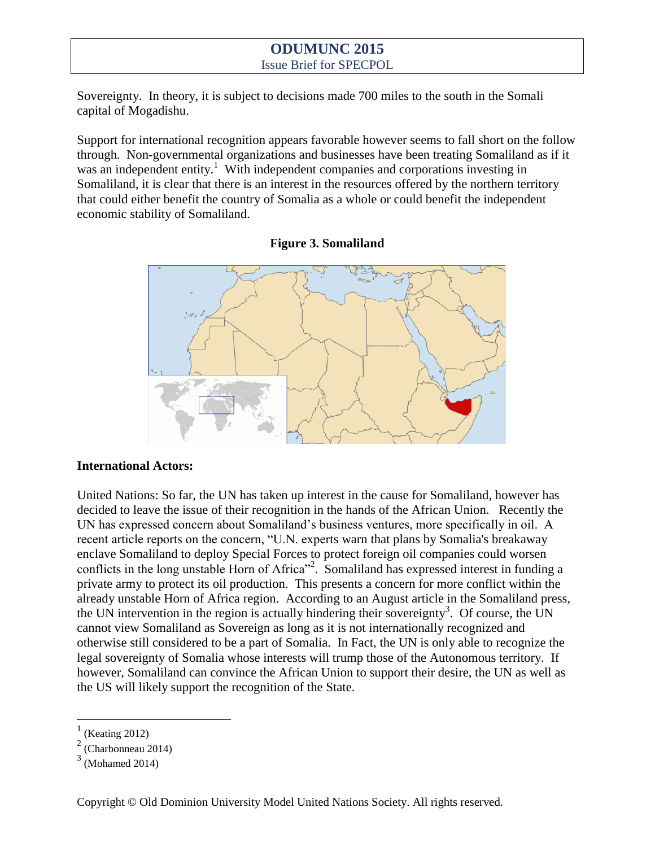Sovereignty. In theory, it is subject to decisions made 700 miles to the south in the Somali capital of Mogadishu.

Support for international recognition appears favorable however seems to fall short on the follow through. Non-governmental organizations and businesses have been treating Somaliland as if it was an independent entity.<sup>1</sup> With independent companies and corporations investing in Somaliland, it is clear that there is an interest in the resources offered by the northern territory that could either benefit the country of Somalia as a whole or could benefit the independent economic stability of Somaliland.





#### **International Actors:**

United Nations: So far, the UN has taken up interest in the cause for Somaliland, however has decided to leave the issue of their recognition in the hands of the African Union. Recently the UN has expressed concern about Somaliland's business ventures, more specifically in oil. A recent article reports on the concern, "U.N. experts warn that plans by Somalia's breakaway enclave Somaliland to deploy Special Forces to protect foreign oil companies could worsen conflicts in the long unstable Horn of Africa"<sup>2</sup>. Somaliland has expressed interest in funding a private army to protect its oil production. This presents a concern for more conflict within the already unstable Horn of Africa region. According to an August article in the Somaliland press, the UN intervention in the region is actually hindering their sovereignty<sup>3</sup>. Of course, the UN cannot view Somaliland as Sovereign as long as it is not internationally recognized and otherwise still considered to be a part of Somalia. In Fact, the UN is only able to recognize the legal sovereignty of Somalia whose interests will trump those of the Autonomous territory. If however, Somaliland can convince the African Union to support their desire, the UN as well as the US will likely support the recognition of the State.

 $\overline{a}$ 

<sup>1</sup> (Keating 2012)

<sup>2</sup> (Charbonneau 2014)

 $3$  (Mohamed 2014)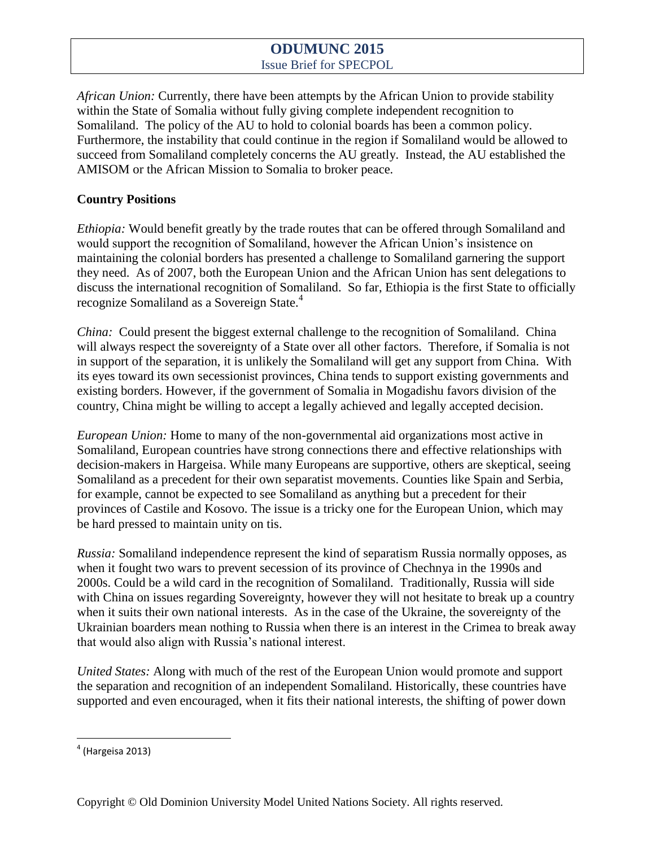*African Union:* Currently, there have been attempts by the African Union to provide stability within the State of Somalia without fully giving complete independent recognition to Somaliland. The policy of the AU to hold to colonial boards has been a common policy. Furthermore, the instability that could continue in the region if Somaliland would be allowed to succeed from Somaliland completely concerns the AU greatly. Instead, the AU established the AMISOM or the African Mission to Somalia to broker peace.

### **Country Positions**

*Ethiopia:* Would benefit greatly by the trade routes that can be offered through Somaliland and would support the recognition of Somaliland, however the African Union's insistence on maintaining the colonial borders has presented a challenge to Somaliland garnering the support they need. As of 2007, both the European Union and the African Union has sent delegations to discuss the international recognition of Somaliland. So far, Ethiopia is the first State to officially recognize Somaliland as a Sovereign State.<sup>4</sup>

*China:* Could present the biggest external challenge to the recognition of Somaliland. China will always respect the sovereignty of a State over all other factors. Therefore, if Somalia is not in support of the separation, it is unlikely the Somaliland will get any support from China. With its eyes toward its own secessionist provinces, China tends to support existing governments and existing borders. However, if the government of Somalia in Mogadishu favors division of the country, China might be willing to accept a legally achieved and legally accepted decision.

*European Union:* Home to many of the non-governmental aid organizations most active in Somaliland, European countries have strong connections there and effective relationships with decision-makers in Hargeisa. While many Europeans are supportive, others are skeptical, seeing Somaliland as a precedent for their own separatist movements. Counties like Spain and Serbia, for example, cannot be expected to see Somaliland as anything but a precedent for their provinces of Castile and Kosovo. The issue is a tricky one for the European Union, which may be hard pressed to maintain unity on tis.

*Russia:* Somaliland independence represent the kind of separatism Russia normally opposes, as when it fought two wars to prevent secession of its province of Chechnya in the 1990s and 2000s. Could be a wild card in the recognition of Somaliland. Traditionally, Russia will side with China on issues regarding Sovereignty, however they will not hesitate to break up a country when it suits their own national interests. As in the case of the Ukraine, the sovereignty of the Ukrainian boarders mean nothing to Russia when there is an interest in the Crimea to break away that would also align with Russia's national interest.

*United States:* Along with much of the rest of the European Union would promote and support the separation and recognition of an independent Somaliland. Historically, these countries have supported and even encouraged, when it fits their national interests, the shifting of power down

 4 (Hargeisa 2013)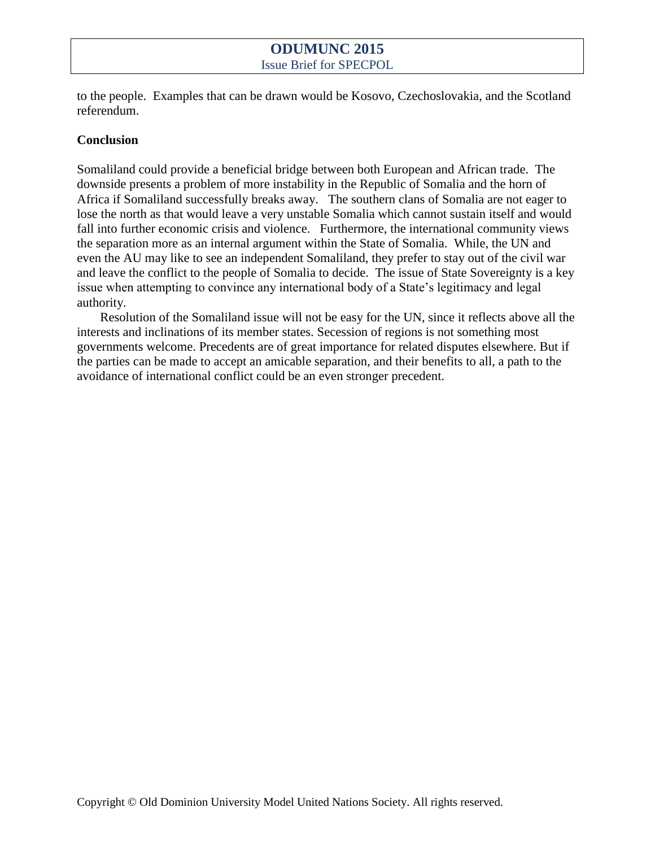to the people. Examples that can be drawn would be Kosovo, Czechoslovakia, and the Scotland referendum.

#### **Conclusion**

Somaliland could provide a beneficial bridge between both European and African trade. The downside presents a problem of more instability in the Republic of Somalia and the horn of Africa if Somaliland successfully breaks away. The southern clans of Somalia are not eager to lose the north as that would leave a very unstable Somalia which cannot sustain itself and would fall into further economic crisis and violence. Furthermore, the international community views the separation more as an internal argument within the State of Somalia. While, the UN and even the AU may like to see an independent Somaliland, they prefer to stay out of the civil war and leave the conflict to the people of Somalia to decide. The issue of State Sovereignty is a key issue when attempting to convince any international body of a State's legitimacy and legal authority.

Resolution of the Somaliland issue will not be easy for the UN, since it reflects above all the interests and inclinations of its member states. Secession of regions is not something most governments welcome. Precedents are of great importance for related disputes elsewhere. But if the parties can be made to accept an amicable separation, and their benefits to all, a path to the avoidance of international conflict could be an even stronger precedent.